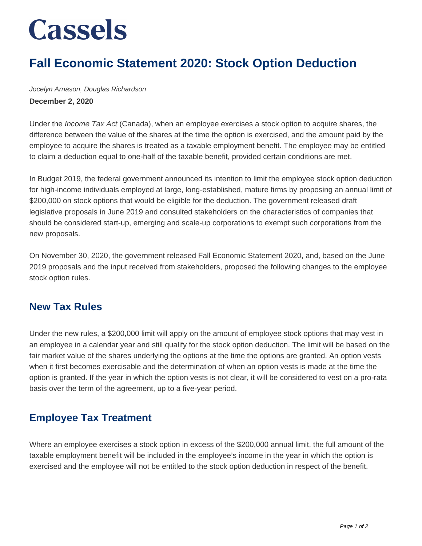# **Cassels**

## **Fall Economic Statement 2020: Stock Option Deduction**

Jocelyn Arnason, Douglas Richardson **December 2, 2020**

Under the *Income Tax Act* (Canada), when an employee exercises a stock option to acquire shares, the difference between the value of the shares at the time the option is exercised, and the amount paid by the employee to acquire the shares is treated as a taxable employment benefit. The employee may be entitled to claim a deduction equal to one-half of the taxable benefit, provided certain conditions are met.

In Budget 2019, the federal government announced its intention to limit the employee stock option deduction for high-income individuals employed at large, long-established, mature firms by proposing an annual limit of \$200,000 on stock options that would be eligible for the deduction. The government released draft legislative proposals in June 2019 and consulted stakeholders on the characteristics of companies that should be considered start-up, emerging and scale-up corporations to exempt such corporations from the new proposals.

On November 30, 2020, the government released Fall Economic Statement 2020, and, based on the June 2019 proposals and the input received from stakeholders, proposed the following changes to the employee stock option rules.

#### **New Tax Rules**

Under the new rules, a \$200,000 limit will apply on the amount of employee stock options that may vest in an employee in a calendar year and still qualify for the stock option deduction. The limit will be based on the fair market value of the shares underlying the options at the time the options are granted. An option vests when it first becomes exercisable and the determination of when an option vests is made at the time the option is granted. If the year in which the option vests is not clear, it will be considered to vest on a pro-rata basis over the term of the agreement, up to a five-year period.

#### **Employee Tax Treatment**

Where an employee exercises a stock option in excess of the \$200,000 annual limit, the full amount of the taxable employment benefit will be included in the employee's income in the year in which the option is exercised and the employee will not be entitled to the stock option deduction in respect of the benefit.